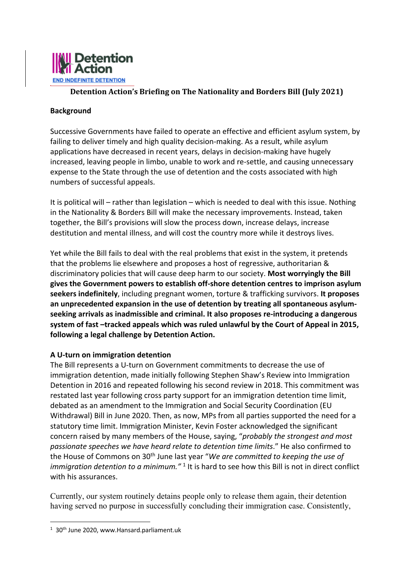

# **Detention Action's Briefing on The Nationality and Borders Bill (July 2021)**

## **Background**

Successive Governments have failed to operate an effective and efficient asylum system, by failing to deliver timely and high quality decision-making. As a result, while asylum applications have decreased in recent years, delays in decision-making have hugely increased, leaving people in limbo, unable to work and re-settle, and causing unnecessary expense to the State through the use of detention and the costs associated with high numbers of successful appeals.

It is political will – rather than legislation – which is needed to deal with this issue. Nothing in the Nationality & Borders Bill will make the necessary improvements. Instead, taken together, the Bill's provisions will slow the process down, increase delays, increase destitution and mental illness, and will cost the country more while it destroys lives.

Yet while the Bill fails to deal with the real problems that exist in the system, it pretends that the problems lie elsewhere and proposes a host of regressive, authoritarian & discriminatory policies that will cause deep harm to our society. **Most worryingly the Bill gives the Government powers to establish off-shore detention centres to imprison asylum seekers indefinitely**, including pregnant women, torture & trafficking survivors. **It proposes an unprecedented expansion in the use of detention by treating all spontaneous asylumseeking arrivals as inadmissible and criminal. It also proposes re-introducing a dangerous system of fast –tracked appeals which was ruled unlawful by the Court of Appeal in 2015, following a legal challenge by Detention Action.**

#### **A U-turn on immigration detention**

The Bill represents a U-turn on Government commitments to decrease the use of immigration detention, made initially following Stephen Shaw's Review into Immigration Detention in 2016 and repeated following his second review in 2018. This commitment was restated last year following cross party support for an immigration detention time limit, debated as an amendment to the Immigration and Social Security Coordination (EU Withdrawal) Bill in June 2020. Then, as now, MPs from all parties supported the need for a statutory time limit. Immigration Minister, Kevin Foster acknowledged the significant concern raised by many members of the House, saying, "*probably the strongest and most passionate speeches we have heard relate to detention time limits*." He also confirmed to the House of Commons on 30th June last year "*We are committed to keeping the use of immigration detention to a minimum.*"<sup>1</sup> It is hard to see how this Bill is not in direct conflict with his assurances.

Currently, our system routinely detains people only to release them again, their detention having served no purpose in successfully concluding their immigration case. Consistently,

<sup>&</sup>lt;sup>1</sup> 30<sup>th</sup> June 2020, www.Hansard.parliament.uk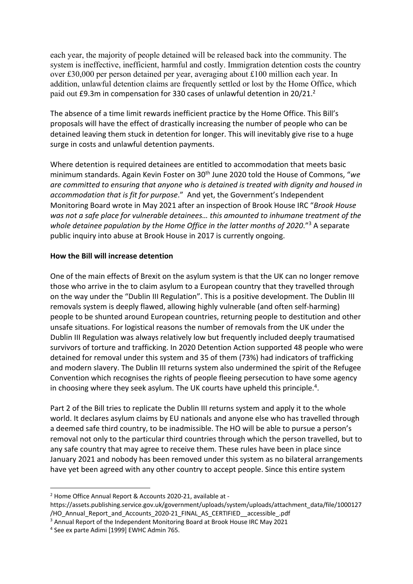each year, the majority of people detained will be released back into the community. The system is ineffective, inefficient, harmful and costly. Immigration detention costs the country over £30,000 per person detained per year, averaging about £100 million each year. In addition, unlawful detention claims are frequently settled or lost by the Home Office, which paid out £9.3m in compensation for 330 cases of unlawful detention in 20/21.<sup>2</sup>

The absence of a time limit rewards inefficient practice by the Home Office. This Bill's proposals will have the effect of drastically increasing the number of people who can be detained leaving them stuck in detention for longer. This will inevitably give rise to a huge surge in costs and unlawful detention payments.

Where detention is required detainees are entitled to accommodation that meets basic minimum standards. Again Kevin Foster on 30th June 2020 told the House of Commons, "*we are committed to ensuring that anyone who is detained is treated with dignity and housed in accommodation that is fit for purpose*." And yet, the Government's Independent Monitoring Board wrote in May 2021 after an inspection of Brook House IRC "*Brook House was not a safe place for vulnerable detainees… this amounted to inhumane treatment of the whole detainee population by the Home Office in the latter months of 2020*."3 A separate public inquiry into abuse at Brook House in 2017 is currently ongoing.

### **How the Bill will increase detention**

One of the main effects of Brexit on the asylum system is that the UK can no longer remove those who arrive in the to claim asylum to a European country that they travelled through on the way under the "Dublin III Regulation". This is a positive development. The Dublin III removals system is deeply flawed, allowing highly vulnerable (and often self-harming) people to be shunted around European countries, returning people to destitution and other unsafe situations. For logistical reasons the number of removals from the UK under the Dublin III Regulation was always relatively low but frequently included deeply traumatised survivors of torture and trafficking. In 2020 Detention Action supported 48 people who were detained for removal under this system and 35 of them (73%) had indicators of trafficking and modern slavery. The Dublin III returns system also undermined the spirit of the Refugee Convention which recognises the rights of people fleeing persecution to have some agency in choosing where they seek asylum. The UK courts have upheld this principle.<sup>4</sup>.

Part 2 of the Bill tries to replicate the Dublin III returns system and apply it to the whole world. It declares asylum claims by EU nationals and anyone else who has travelled through a deemed safe third country, to be inadmissible. The HO will be able to pursue a person's removal not only to the particular third countries through which the person travelled, but to any safe country that may agree to receive them. These rules have been in place since January 2021 and nobody has been removed under this system as no bilateral arrangements have yet been agreed with any other country to accept people. Since this entire system

<sup>2</sup> Home Office Annual Report & Accounts 2020-21, available at -

https://assets.publishing.service.gov.uk/government/uploads/system/uploads/attachment\_data/file/1000127 /HO\_Annual\_Report\_and\_Accounts\_2020-21\_FINAL\_AS\_CERTIFIED\_accessible\_.pdf

<sup>&</sup>lt;sup>3</sup> Annual Report of the Independent Monitoring Board at Brook House IRC May 2021

<sup>4</sup> See ex parte Adimi [1999] EWHC Admin 765.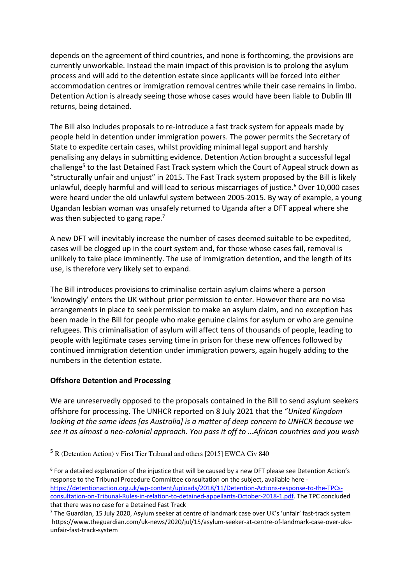depends on the agreement of third countries, and none is forthcoming, the provisions are currently unworkable. Instead the main impact of this provision is to prolong the asylum process and will add to the detention estate since applicants will be forced into either accommodation centres or immigration removal centres while their case remains in limbo. Detention Action is already seeing those whose cases would have been liable to Dublin III returns, being detained.

The Bill also includes proposals to re-introduce a fast track system for appeals made by people held in detention under immigration powers. The power permits the Secretary of State to expedite certain cases, whilst providing minimal legal support and harshly penalising any delays in submitting evidence. Detention Action brought a successful legal challenge<sup>5</sup> to the last Detained Fast Track system which the Court of Appeal struck down as "structurally unfair and unjust" in 2015. The Fast Track system proposed by the Bill is likely unlawful, deeply harmful and will lead to serious miscarriages of justice.<sup>6</sup> Over 10,000 cases were heard under the old unlawful system between 2005-2015. By way of example, a young Ugandan lesbian woman was unsafely returned to Uganda after a DFT appeal where she was then subjected to gang rape.<sup>7</sup>

A new DFT will inevitably increase the number of cases deemed suitable to be expedited, cases will be clogged up in the court system and, for those whose cases fail, removal is unlikely to take place imminently. The use of immigration detention, and the length of its use, is therefore very likely set to expand.

The Bill introduces provisions to criminalise certain asylum claims where a person 'knowingly' enters the UK without prior permission to enter. However there are no visa arrangements in place to seek permission to make an asylum claim, and no exception has been made in the Bill for people who make genuine claims for asylum or who are genuine refugees. This criminalisation of asylum will affect tens of thousands of people, leading to people with legitimate cases serving time in prison for these new offences followed by continued immigration detention under immigration powers, again hugely adding to the numbers in the detention estate.

#### **Offshore Detention and Processing**

We are unreservedly opposed to the proposals contained in the Bill to send asylum seekers offshore for processing. The UNHCR reported on 8 July 2021 that the "*United Kingdom looking at the same ideas [as Australia] is a matter of deep concern to UNHCR because we see it as almost a neo-colonial approach. You pass it off to …African countries and you wash* 

<sup>5</sup> R (Detention Action) v First Tier Tribunal and others [2015] EWCA Civ 840

<sup>6</sup> For a detailed explanation of the injustice that will be caused by a new DFT please see Detention Action's response to the Tribunal Procedure Committee consultation on the subject, available here https://detentionaction.org.uk/wp-content/uploads/2018/11/Detention-Actions-response-to-the-TPCsconsultation-on-Tribunal-Rules-in-relation-to-detained-appellants-October-2018-1.pdf. The TPC concluded that there was no case for a Detained Fast Track

<sup>7</sup> The Guardian, 15 July 2020, Asylum seeker at centre of landmark case over UK's 'unfair' fast-track system https://www.theguardian.com/uk-news/2020/jul/15/asylum-seeker-at-centre-of-landmark-case-over-uksunfair-fast-track-system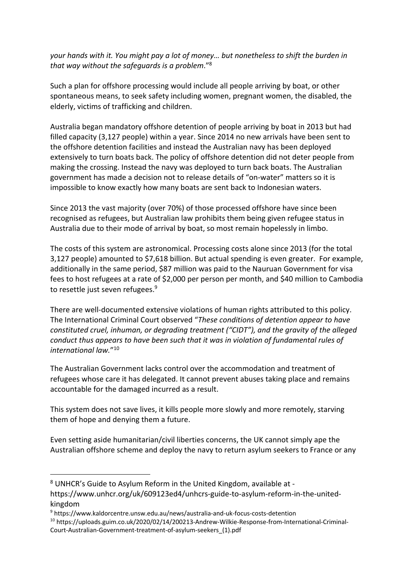*your hands with it. You might pay a lot of money… but nonetheless to shift the burden in that way without the safeguards is a problem*."8

Such a plan for offshore processing would include all people arriving by boat, or other spontaneous means, to seek safety including women, pregnant women, the disabled, the elderly, victims of trafficking and children.

Australia began mandatory offshore detention of people arriving by boat in 2013 but had filled capacity (3,127 people) within a year. Since 2014 no new arrivals have been sent to the offshore detention facilities and instead the Australian navy has been deployed extensively to turn boats back. The policy of offshore detention did not deter people from making the crossing. Instead the navy was deployed to turn back boats. The Australian government has made a decision not to release details of "on-water" matters so it is impossible to know exactly how many boats are sent back to Indonesian waters.

Since 2013 the vast majority (over 70%) of those processed offshore have since been recognised as refugees, but Australian law prohibits them being given refugee status in Australia due to their mode of arrival by boat, so most remain hopelessly in limbo.

The costs of this system are astronomical. Processing costs alone since 2013 (for the total 3,127 people) amounted to \$7,618 billion. But actual spending is even greater. For example, additionally in the same period, \$87 million was paid to the Nauruan Government for visa fees to host refugees at a rate of \$2,000 per person per month, and \$40 million to Cambodia to resettle just seven refugees.<sup>9</sup>

There are well-documented extensive violations of human rights attributed to this policy. The International Criminal Court observed "*These conditions of detention appear to have constituted cruel, inhuman, or degrading treatment ("CIDT"), and the gravity of the alleged conduct thus appears to have been such that it was in violation of fundamental rules of international law.*"10

The Australian Government lacks control over the accommodation and treatment of refugees whose care it has delegated. It cannot prevent abuses taking place and remains accountable for the damaged incurred as a result.

This system does not save lives, it kills people more slowly and more remotely, starving them of hope and denying them a future.

Even setting aside humanitarian/civil liberties concerns, the UK cannot simply ape the Australian offshore scheme and deploy the navy to return asylum seekers to France or any

<sup>8</sup> UNHCR's Guide to Asylum Reform in the United Kingdom, available at https://www.unhcr.org/uk/609123ed4/unhcrs-guide-to-asylum-reform-in-the-unitedkingdom

<sup>9</sup> https://www.kaldorcentre.unsw.edu.au/news/australia-and-uk-focus-costs-detention

<sup>10</sup> https://uploads.guim.co.uk/2020/02/14/200213-Andrew-Wilkie-Response-from-International-Criminal-Court-Australian-Government-treatment-of-asylum-seekers\_(1).pdf